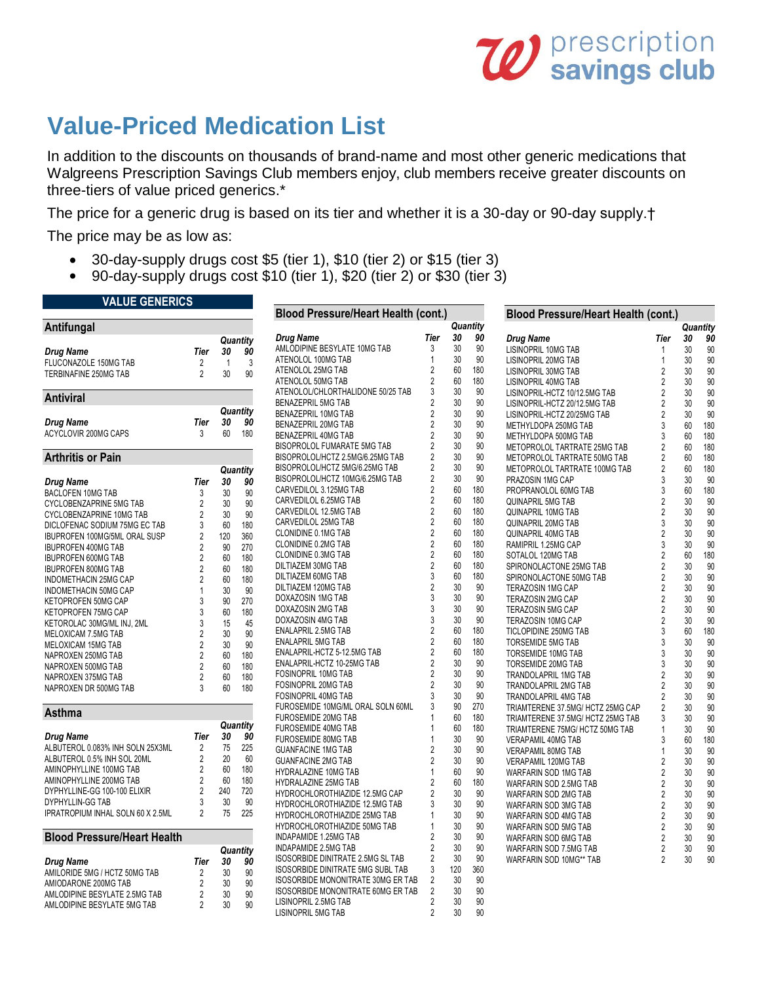# **W** prescription

# **Value-Priced Medication List**

**VALUE GENERICS**

In addition to the discounts on thousands of brand-name and most other generic medications that Walgreens Prescription Savings Club members enjoy, club members receive greater discounts on three-tiers of value priced generics.\*

The price for a generic drug is based on its tier and whether it is a 30-day or 90-day supply.† The price may be as low as:

- 30-day-supply drugs cost \$5 (tier 1), \$10 (tier 2) or \$15 (tier 3)
- 90-day-supply drugs cost \$10 (tier 1), \$20 (tier 2) or \$30 (tier 3)

| VALUE UENERIUJ                     |                         |              |          | <b>Blood Pressure/Heart Health (cont.)</b> |                |     |          |                                            |                         |          |     |
|------------------------------------|-------------------------|--------------|----------|--------------------------------------------|----------------|-----|----------|--------------------------------------------|-------------------------|----------|-----|
| Antifungal                         |                         |              |          |                                            |                |     | Quantity | <b>Blood Pressure/Heart Health (cont.)</b> |                         | Quantity |     |
|                                    |                         |              |          | <b>Drug Name</b>                           | Tier           | 30  | 90       | <b>Drug Name</b>                           | Tier                    | 30       | 90  |
|                                    |                         |              | Quantity | AMLODIPINE BESYLATE 10MG TAB               | 3              | 30  | 90       |                                            | 1                       | 30       |     |
| <b>Drug Name</b>                   | Tier                    | 30           | 90       | ATENOLOL 100MG TAB                         | $\mathbf{1}$   | 30  | 90       | LISINOPRIL 10MG TAB                        |                         |          | 90  |
| FLUCONAZOLE 150MG TAB              | $\overline{2}$          | $\mathbf{1}$ | 3        |                                            |                |     |          | <b>LISINOPRIL 20MG TAB</b>                 | $\mathbf{1}$            | 30       | 90  |
| TERBINAFINE 250MG TAB              | $\overline{2}$          | 30           | 90       | ATENOLOL 25MG TAB                          | $\overline{2}$ | 60  | 180      | LISINOPRIL 30MG TAB                        | $\overline{2}$          | 30       | 90  |
|                                    |                         |              |          | ATENOLOL 50MG TAB                          | $\overline{2}$ | 60  | 180      | LISINOPRIL 40MG TAB                        | $\overline{2}$          | 30       | 90  |
| Antiviral                          |                         |              |          | ATENOLOL/CHLORTHALIDONE 50/25 TAB          | 3              | 30  | 90       | LISINOPRIL-HCTZ 10/12.5MG TAB              | $\overline{2}$          | 30       | 90  |
|                                    |                         |              |          | <b>BENAZEPRIL 5MG TAB</b>                  | $\overline{2}$ | 30  | 90       | LISINOPRIL-HCTZ 20/12.5MG TAB              | $\overline{2}$          | 30       | 90  |
|                                    |                         |              | Quantity | BENAZEPRIL 10MG TAB                        | $\overline{2}$ | 30  | 90       | LISINOPRIL-HCTZ 20/25MG TAB                | $\overline{2}$          | 30       | 90  |
| Drug Name                          | Tier                    | 30           | 90       | BENAZEPRIL 20MG TAB                        | $\overline{2}$ | 30  | 90       | METHYLDOPA 250MG TAB                       | 3                       | 60       | 180 |
| ACYCLOVIR 200MG CAPS               | 3                       | 60           | 180      | BENAZEPRIL 40MG TAB                        | $\overline{2}$ | 30  | 90       | METHYLDOPA 500MG TAB                       | 3                       | 60       | 180 |
|                                    |                         |              |          | BISOPROLOL FUMARATE 5MG TAB                | $\overline{2}$ | 30  | 90       | METOPROLOL TARTRATE 25MG TAB               | $\overline{2}$          | 60       | 180 |
| <b>Arthritis or Pain</b>           |                         |              |          | BISOPROLOL/HCTZ 2.5MG/6.25MG TAB           | $\overline{2}$ | 30  | 90       | METOPROLOL TARTRATE 50MG TAB               | $\sqrt{2}$              | 60       | 180 |
|                                    |                         |              | Quantity | BISOPROLOL/HCTZ 5MG/6.25MG TAB             | $\sqrt{2}$     | 30  | 90       | METOPROLOL TARTRATE 100MG TAB              | $\overline{2}$          | 60       | 180 |
|                                    | Tier                    | 30           | 90       | BISOPROLOL/HCTZ 10MG/6.25MG TAB            | $\overline{2}$ | 30  | 90       | PRAZOSIN 1MG CAP                           | 3                       | 30       | 90  |
| Drug Name                          |                         |              |          | CARVEDILOL 3.125MG TAB                     | $\sqrt{2}$     | 60  | 180      | PROPRANOLOL 60MG TAB                       | 3                       | 60       | 180 |
| <b>BACLOFEN 10MG TAB</b>           | 3                       | 30           | 90       | CARVEDILOL 6.25MG TAB                      | $\overline{2}$ | 60  | 180      | <b>QUINAPRIL 5MG TAB</b>                   | $\overline{2}$          | 30       | 90  |
| CYCLOBENZAPRINE 5MG TAB            | $\overline{\mathbf{c}}$ | 30           | 90       | CARVEDILOL 12.5MG TAB                      | $\sqrt{2}$     | 60  | 180      | QUINAPRIL 10MG TAB                         | $\overline{2}$          | 30       | 90  |
| CYCLOBENZAPRINE 10MG TAB           | $\overline{2}$          | 30           | 90       |                                            | $\sqrt{2}$     | 60  | 180      |                                            | 3                       | 30       |     |
| DICLOFENAC SODIUM 75MG EC TAB      | 3                       | 60           | 180      | CARVEDILOL 25MG TAB<br>CLONIDINE 0.1MG TAB | $\sqrt{2}$     | 60  | 180      | QUINAPRIL 20MG TAB                         |                         | 30       | 90  |
| IBUPROFEN 100MG/5ML ORAL SUSP      | $\overline{\mathbf{c}}$ | 120          | 360      |                                            | $\sqrt{2}$     |     |          | QUINAPRIL 40MG TAB                         | $\overline{2}$          |          | 90  |
| <b>IBUPROFEN 400MG TAB</b>         | $\overline{2}$          | 90           | 270      | CLONIDINE 0.2MG TAB                        |                | 60  | 180      | RAMIPRIL 1.25MG CAP                        | 3                       | 30       | 90  |
| <b>IBUPROFEN 600MG TAB</b>         | $\sqrt{2}$              | 60           | 180      | <b>CLONIDINE 0.3MG TAB</b>                 | $\sqrt{2}$     | 60  | 180      | SOTALOL 120MG TAB                          | $\overline{2}$          | 60       | 180 |
| <b>IBUPROFEN 800MG TAB</b>         | $\overline{\mathbf{c}}$ | 60           | 180      | DILTIAZEM 30MG TAB                         | $\sqrt{2}$     | 60  | 180      | SPIRONOLACTONE 25MG TAB                    | $\sqrt{2}$              | 30       | 90  |
| INDOMETHACIN 25MG CAP              | $\overline{2}$          | 60           | 180      | DILTIAZEM 60MG TAB                         | 3              | 60  | 180      | SPIRONOLACTONE 50MG TAB                    | $\overline{2}$          | 30       | 90  |
| INDOMETHACIN 50MG CAP              | $\mathbf{1}$            | 30           | 90       | DILTIAZEM 120MG TAB                        | $\frac{2}{3}$  | 30  | 90       | <b>TERAZOSIN 1MG CAP</b>                   | $\overline{2}$          | 30       | 90  |
| KETOPROFEN 50MG CAP                | 3                       | 90           | 270      | DOXAZOSIN 1MG TAB                          |                | 30  | 90       | <b>TERAZOSIN 2MG CAP</b>                   | $\sqrt{2}$              | 30       | 90  |
| KETOPROFEN 75MG CAP                | 3                       | 60           | 180      | DOXAZOSIN 2MG TAB                          | 3              | 30  | 90       | TERAZOSIN 5MG CAP                          | $\overline{2}$          | 30       | 90  |
| KETOROLAC 30MG/ML INJ, 2ML         | 3                       | 15           | 45       | DOXAZOSIN 4MG TAB                          | 3              | 30  | 90       | <b>TERAZOSIN 10MG CAP</b>                  | $\overline{2}$          | 30       | 90  |
| MELOXICAM 7.5MG TAB                | $\sqrt{2}$              | 30           | 90       | ENALAPRIL 2.5MG TAB                        | $\sqrt{2}$     | 60  | 180      | TICLOPIDINE 250MG TAB                      | 3                       | 60       | 180 |
| MELOXICAM 15MG TAB                 | $\overline{\mathbf{c}}$ | 30           | 90       | <b>ENALAPRIL 5MG TAB</b>                   | $\overline{2}$ | 60  | 180      | TORSEMIDE 5MG TAB                          | 3                       | 30       | 90  |
| NAPROXEN 250MG TAB                 | $\overline{2}$          | 60           | 180      | ENALAPRIL-HCTZ 5-12.5MG TAB                | $\sqrt{2}$     | 60  | 180      | TORSEMIDE 10MG TAB                         | 3                       | 30       | 90  |
| NAPROXEN 500MG TAB                 | 2                       | 60           | 180      | ENALAPRIL-HCTZ 10-25MG TAB                 | $\sqrt{2}$     | 30  | 90       | TORSEMIDE 20MG TAB                         | 3                       | 30       | 90  |
| NAPROXEN 375MG TAB                 | 2                       | 60           | 180      | FOSINOPRIL 10MG TAB                        | $\sqrt{2}$     | 30  | 90       | TRANDOLAPRIL 1MG TAB                       | $\overline{2}$          | 30       | 90  |
| NAPROXEN DR 500MG TAB              | 3                       | 60           | 180      | <b>FOSINOPRIL 20MG TAB</b>                 | $\overline{2}$ | 30  | 90       | TRANDOLAPRIL 2MG TAB                       | $\overline{2}$          | 30       | 90  |
|                                    |                         |              |          | <b>FOSINOPRIL 40MG TAB</b>                 | 3              | 30  | 90       | TRANDOLAPRIL 4MG TAB                       | $\overline{\mathbf{c}}$ | 30       | 90  |
|                                    |                         |              |          | FUROSEMIDE 10MG/ML ORAL SOLN 60ML          | 3              | 90  | 270      | TRIAMTERENE 37.5MG/ HCTZ 25MG CAP          | $\overline{2}$          | 30       | 90  |
| Asthma                             |                         |              |          | FUROSEMIDE 20MG TAB                        | $\overline{1}$ | 60  | 180      | TRIAMTERENE 37.5MG/ HCTZ 25MG TAB          | 3                       | 30       | 90  |
|                                    |                         |              | Quantity | FUROSEMIDE 40MG TAB                        | $\mathbf{1}$   | 60  | 180      | TRIAMTERENE 75MG/ HCTZ 50MG TAB            | $\overline{1}$          | 30       | 90  |
| Drug Name                          | Tier                    | 30           | 90       | <b>FUROSEMIDE 80MG TAB</b>                 | $\overline{1}$ | 30  | 90       | VERAPAMIL 40MG TAB                         | 3                       | 60       | 180 |
| ALBUTEROL 0.083% INH SOLN 25X3ML   | $\overline{2}$          | 75           | 225      | <b>GUANFACINE 1MG TAB</b>                  | $\overline{2}$ | 30  | 90       | VERAPAMIL 80MG TAB                         |                         | 30       | 90  |
| ALBUTEROL 0.5% INH SOL 20ML        | $\overline{\mathbf{c}}$ | 20           | 60       | <b>GUANFACINE 2MG TAB</b>                  | $\overline{2}$ | 30  | 90       | <b>VERAPAMIL 120MG TAB</b>                 | $\overline{2}$          | 30       | 90  |
| AMINOPHYLLINE 100MG TAB            | $\overline{2}$          | 60           | 180      | HYDRALAZINE 10MG TAB                       | $\mathbf{1}$   | 60  | 90       | WARFARIN SOD 1MG TAB                       | $\overline{2}$          | 30       | 90  |
| AMINOPHYLLINE 200MG TAB            | $\overline{2}$          | 60           | 180      | <b>HYDRALAZINE 25MG TAB</b>                | $\overline{2}$ | 60  | 180      | WARFARIN SOD 2.5MG TAB                     | $\overline{2}$          | 30       | 90  |
| DYPHYLLINE-GG 100-100 ELIXIR       | $\overline{2}$          | 240          | 720      | HYDROCHLOROTHIAZIDE 12.5MG CAP             | $\overline{2}$ | 30  | 90       |                                            | $\overline{2}$          | 30       | 90  |
| DYPHYLLIN-GG TAB                   | 3                       | 30           | 90       | HYDROCHLOROTHIAZIDE 12.5MG TAB             | 3              | 30  | 90       | WARFARIN SOD 2MG TAB                       | $\overline{2}$          | 30       | 90  |
| IPRATROPIUM INHAL SOLN 60 X 2.5ML  | $\overline{2}$          | 75           | 225      | HYDROCHLOROTHIAZIDE 25MG TAB               | $\mathbf{1}$   | 30  | 90       | WARFARIN SOD 3MG TAB                       |                         |          |     |
|                                    |                         |              |          |                                            | $\mathbf{1}$   | 30  | 90       | WARFARIN SOD 4MG TAB                       | $\overline{2}$          | 30       | 90  |
|                                    |                         |              |          | HYDROCHLOROTHIAZIDE 50MG TAB               |                |     |          | WARFARIN SOD 5MG TAB                       | $\overline{2}$          | 30       | 90  |
| <b>Blood Pressure/Heart Health</b> |                         |              |          | INDAPAMIDE 1.25MG TAB                      | $\overline{2}$ | 30  | 90       | WARFARIN SOD 6MG TAB                       | $\overline{2}$          | 30       | 90  |
|                                    |                         |              | Quantity | INDAPAMIDE 2.5MG TAB                       | $\overline{2}$ | 30  | 90       | WARFARIN SOD 7.5MG TAB                     | $\overline{2}$          | 30       | 90  |
| <b>Drug Name</b>                   | Tier                    | 30           | 90       | ISOSORBIDE DINITRATE 2.5MG SL TAB          | $\overline{2}$ | 30  | 90       | WARFARIN SOD 10MG** TAB                    | $\mathfrak{p}$          | 30       | 90  |
| AMILORIDE 5MG / HCTZ 50MG TAB      | $\overline{2}$          | 30           | 90       | ISOSORBIDE DINITRATE 5MG SUBL TAB          | 3              | 120 | 360      |                                            |                         |          |     |
| AMIODARONE 200MG TAB               | $\overline{2}$          | 30           | 90       | ISOSORBIDE MONONITRATE 30MG ER TAB         | $\overline{2}$ | 30  | 90       |                                            |                         |          |     |
| AMLODIPINE BESYLATE 2.5MG TAB      | $\overline{2}$          | 30           | 90       | ISOSORBIDE MONONITRATE 60MG ER TAB         | $\overline{2}$ | 30  | 90       |                                            |                         |          |     |
| AMLODIPINE BESYLATE 5MG TAB        | $\mathfrak{p}$          | 30           | 90       | LISINOPRIL 2.5MG TAB                       | $\overline{2}$ | 30  | 90       |                                            |                         |          |     |
|                                    |                         |              |          | LISINOPRIL 5MG TAB                         | $\overline{2}$ | 30  | 90       |                                            |                         |          |     |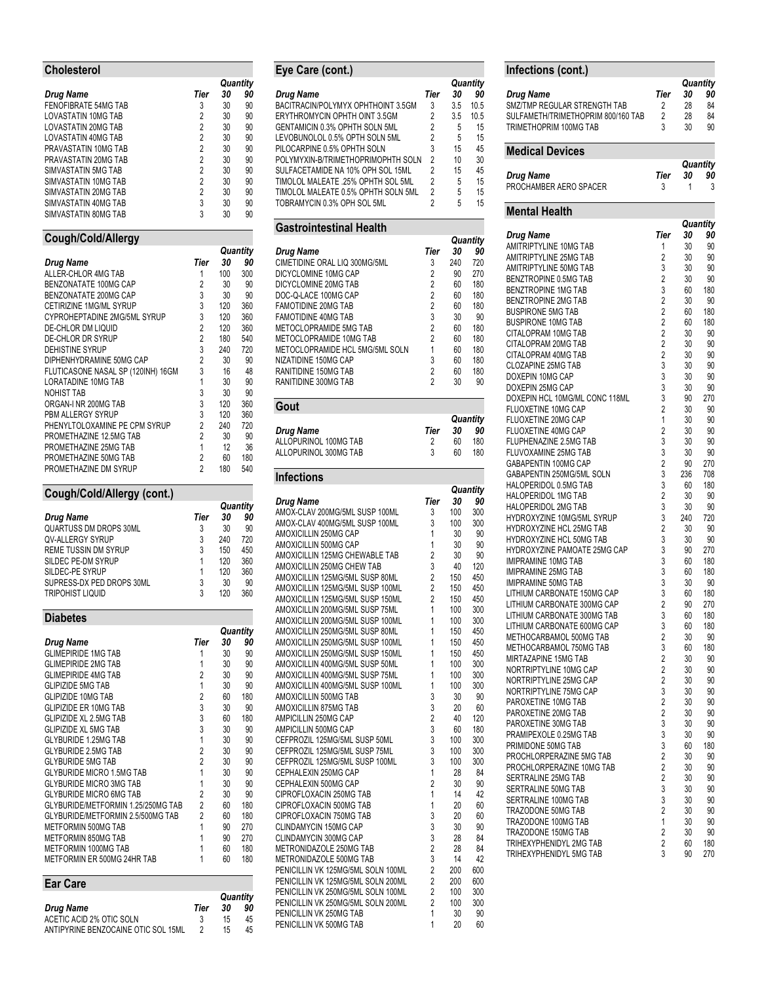# **Cholesterol**

|                                                           |                     |            | Quantity   |
|-----------------------------------------------------------|---------------------|------------|------------|
| Drug Name                                                 | Tier                | 30         | 90         |
| FENOFIBRATE 54MG TAB                                      | 3                   | 30         | 90         |
| LOVASTATIN 10MG TAB                                       | 2                   | 30         | 90         |
| LOVASTATIN 20MG TAB                                       | $\overline{2}$      | 30         | 90         |
| LOVASTATIN 40MG TAB<br>PRAVASTATIN 10MG TAB               | 2<br>$\overline{2}$ | 30<br>30   | 90<br>90   |
| PRAVASTATIN 20MG TAB                                      | $\overline{2}$      |            |            |
|                                                           | 2                   | 30<br>30   | 90<br>90   |
| SIMVASTATIN 5MG TAB<br>SIMVASTATIN 10MG TAB               | $\overline{2}$      | 30         | 90         |
|                                                           | 2                   | 30         | 90         |
| SIMVASTATIN 20MG TAB<br>SIMVASTATIN 40MG TAB              | 3                   |            |            |
| SIMVASTATIN 80MG TAB                                      | 3                   | 30         | 90         |
|                                                           |                     | 30         | 90         |
| Cough/Cold/Allergy                                        |                     |            |            |
|                                                           |                     |            | Quantity   |
| Drug Name                                                 | Tier                | 30         | 90         |
| ALLER-CHLOR 4MG TAB<br><b>BENZONATATE 100MG CAP</b>       | 1<br>$\overline{2}$ | 100        | 300        |
|                                                           | 3                   | 30<br>30   | 90<br>90   |
| BENZONATATE 200MG CAP                                     |                     |            |            |
| CETIRIZINE 1MG/ML SYRUP                                   | 3<br>3              | 120<br>120 | 360<br>360 |
| CYPROHEPTADINE 2MG/5ML SYRUP<br><b>DE-CHLOR DM LIQUID</b> | 2                   | 120        | 360        |
| DE-CHLOR DR SYRUP                                         | $\overline{2}$      | 180        | 540        |
| <b>DEHISTINE SYRUP</b>                                    | 3                   | 240        | 720        |
| DIPHENHYDRAMINE 50MG CAP                                  | $\overline{2}$      | 30         | 90         |
| FLUTICASONE NASAL SP (120INH) 16GM                        | 3                   | 16         | 48         |
| LORATADINE 10MG TAB                                       | 1                   | 30         | 90         |
| NOHIST TAB                                                | 3                   | 30         | 90         |
| ORGAN-I NR 200MG TAB                                      | 3                   | 120        | 360        |
| PBM ALLERGY SYRUP                                         | 3                   | 120        | 360        |
| PHENYLTOLOXAMINE PE CPM SYRUP                             | $\overline{2}$      | 240        | 720        |
| PROMETHAZINE 12.5MG TAB                                   | $\overline{2}$      | 30         | 90         |
| PROMETHAZINE 25MG TAB                                     | 1                   | 12         | 36         |
| PROMETHAZINE 50MG TAB                                     | 2                   | 60         | 180        |
| PROMETHAZINE DM SYRUP                                     | $\overline{2}$      | 180        | 540        |
|                                                           |                     |            |            |
| Cough/Cold/Allergy (cont.)                                |                     |            |            |
|                                                           |                     |            |            |
|                                                           |                     |            | Quantity   |
| Drug Name                                                 | Tier                | 30         | 90         |
| QUARTUSS DM DROPS 30ML                                    | 3                   | 30         | 90         |
| QV-ALLERGY SYRUP                                          | 3                   | 240        | 720        |
| REME TUSSIN DM SYRUP                                      | 3                   | 150        | 450        |
| SILDEC PE-DM SYRUP                                        | 1                   | 120        | 360        |
| SILDEC-PE SYRUP                                           | 1                   | 120        | 360        |
| SUPRESS-DX PED DROPS 30ML                                 | 3                   | 30         | 90         |
| <b>TRIPOHIST LIQUID</b>                                   | 3                   | 120        | 360        |
| <b>Diabetes</b>                                           |                     |            |            |
|                                                           |                     |            | Quantity   |
| Drug Name                                                 | Tier                | 30         | 90         |
| <b>GLIMEPIRIDE 1MG TAB</b>                                | 1                   | 30         | 90         |
| <b>GLIMEPIRIDE 2MG TAB</b>                                | 1                   | 30         | 90         |
| <b>GLIMEPIRIDE 4MG TAB</b>                                | $\overline{2}$      | 30         | 90         |
| <b>GLIPIZIDE 5MG TAB</b>                                  | 1                   | 30         | 90         |
| <b>GLIPIZIDE 10MG TAB</b>                                 | $\overline{2}$      | 60         | 180        |
| GLIPIZIDE ER 10MG TAB                                     | 3                   | 30         | 90         |
| <b>GLIPIZIDE XL 2.5MG TAB</b>                             | 3                   | 60         | 180        |
| <b>GLIPIZIDE XL 5MG TAB</b>                               | 3                   | 30         | 90         |
| <b>GLYBURIDE 1.25MG TAB</b>                               | 1                   | 30         | 90         |
| GLYBURIDE 2.5MG TAB                                       | $\overline{2}$      | 30         | 90         |
| <b>GLYBURIDE 5MG TAB</b>                                  | $\overline{2}$      | 30         | 90         |
| <b>GLYBURIDE MICRO 1.5MG TAB</b>                          | 1                   | 30         | 90         |
| <b>GLYBURIDE MICRO 3MG TAB</b>                            | 1                   | 30         | 90         |
| <b>GLYBURIDE MICRO 6MG TAB</b>                            | $\overline{2}$      | 30         | 90         |
| GLYBURIDE/METFORMIN 1.25/250MG TAB                        | $\overline{2}$      | 60         | 180        |
| GLYBURIDE/METFORMIN 2.5/500MG TAB                         | $\overline{2}$      | 60         | 180        |
| METFORMIN 500MG TAB                                       | 1                   | 90         | 270        |
| METFORMIN 850MG TAB                                       | 1                   | 90         | 270        |
| METFORMIN 1000MG TAB                                      | 1                   | 60         | 180        |
| METFORMIN ER 500MG 24HR TAB                               | 1                   | 60         | 180        |
| <b>Ear Care</b>                                           |                     |            |            |
|                                                           |                     |            | Quantity   |
| <b>Drug Name</b><br>ACETIC ACID 2% OTIC SOLN              | Tier<br>3           | 30<br>15   | 90<br>45   |

ACETIC ACID 2% OTIC SOLN 3 15 45 ANTIPYRINE BENZOCAINE OTIC SOL 15ML 2 15 45

| Eye Care (cont.)                             |                              |          |                                                                                                                                                                                |
|----------------------------------------------|------------------------------|----------|--------------------------------------------------------------------------------------------------------------------------------------------------------------------------------|
|                                              |                              |          | Quantity                                                                                                                                                                       |
| Drug Name                                    | Tier                         | 30       | 90                                                                                                                                                                             |
| BACITRACIN/POLYMYX OPHTHOINT 3.5GM           | 3                            | 3.5      | 10.5                                                                                                                                                                           |
| ERYTHROMYCIN OPHTH OINT 3.5GM                | 2                            | 3.5      | 10.5                                                                                                                                                                           |
| GENTAMICIN 0.3% OPHTH SOLN 5ML               | 2                            | 5        | 15                                                                                                                                                                             |
| LEVOBUNOLOL 0.5% OPTH SOLN 5ML               | $\overline{2}$               | 5        | 15                                                                                                                                                                             |
| PILOCARPINE 0.5% OPHTH SOLN                  | 3                            | 15       | 45                                                                                                                                                                             |
| POLYMYXIN-B/TRIMETHOPRIMOPHTH SOLN           | $\overline{2}$               | 10       | 30                                                                                                                                                                             |
| SULFACETAMIDE NA 10% OPH SOL 15ML            | $\overline{2}$               | 15       | 45                                                                                                                                                                             |
| TIMOLOL MALEATE .25% OPHTH SOL 5ML           | $\overline{2}$               | 5        | 15                                                                                                                                                                             |
| TIMOLOL MALEATE 0.5% OPHTH SOLN 5ML          | 2                            | 5        | 15                                                                                                                                                                             |
| TOBRAMYCIN 0.3% OPH SOL 5ML                  | 2                            | 5        | 15                                                                                                                                                                             |
| <b>Gastrointestinal Health</b>               |                              |          |                                                                                                                                                                                |
|                                              |                              |          | Quantity                                                                                                                                                                       |
| Drug Name                                    | Tier                         | 30       | 90                                                                                                                                                                             |
| CIMETIDINE ORAL LIQ 300MG/5ML                | 3                            | 240      | 720                                                                                                                                                                            |
| DICYCLOMINE 10MG CAP                         | 2                            | 90       | 270                                                                                                                                                                            |
| DICYCLOMINE 20MG TAB                         | $\overline{2}$               | 60       | 180                                                                                                                                                                            |
| DOC-Q-LACE 100MG CAP                         | $\overline{2}$               | 60       | 180                                                                                                                                                                            |
| <b>FAMOTIDINE 20MG TAB</b>                   | $\overline{2}$               | 60       | 180                                                                                                                                                                            |
| <b>FAMOTIDINE 40MG TAB</b>                   | 3                            | 30       | 90                                                                                                                                                                             |
| METOCLOPRAMIDE 5MG TAB                       | $\overline{2}$               | 60       | 180                                                                                                                                                                            |
|                                              |                              |          |                                                                                                                                                                                |
| METOCLOPRAMIDE 10MG TAB                      | $\overline{2}$               | 60       | 180                                                                                                                                                                            |
| METOCLOPRAMIDE HCL 5MG/5ML SOLN              | 1                            | 60       | 180                                                                                                                                                                            |
| NIZATIDINE 150MG CAP                         | 3                            | 60       | 180                                                                                                                                                                            |
| RANITIDINE 150MG TAB<br>RANITIDINE 300MG TAB | 2<br>$\overline{2}$          | 60<br>30 | 180<br>90                                                                                                                                                                      |
|                                              |                              |          |                                                                                                                                                                                |
| Gout                                         |                              |          |                                                                                                                                                                                |
|                                              |                              |          | Quantity                                                                                                                                                                       |
| Drug Name                                    | Tier                         | 30       | 90                                                                                                                                                                             |
| ALLOPURINOL 100MG TAB                        | 2                            | 60       | 180                                                                                                                                                                            |
|                                              |                              | 60       | 180                                                                                                                                                                            |
| ALLOPURINOL 300MG TAB                        | 3                            |          |                                                                                                                                                                                |
| <b>Infections</b>                            |                              |          |                                                                                                                                                                                |
|                                              |                              |          |                                                                                                                                                                                |
| Drug Name                                    | Tier                         | 30       |                                                                                                                                                                                |
| AMOX-CLAV 200MG/5ML SUSP 100ML               | 3                            | 100      |                                                                                                                                                                                |
| AMOX-CLAV 400MG/5ML SUSP 100ML               | 3                            | 100      |                                                                                                                                                                                |
| AMOXICILLIN 250MG CAP                        | 1                            | 30       |                                                                                                                                                                                |
| AMOXICILLIN 500MG CAP                        | 1                            | 30       | 90                                                                                                                                                                             |
| AMOXICILLIN 125MG CHEWABLE TAB               | $\overline{2}$               | 30       |                                                                                                                                                                                |
| AMOXICILLIN 250MG CHEW TAB                   |                              |          |                                                                                                                                                                                |
|                                              | 3                            | 40       | 120                                                                                                                                                                            |
| AMOXICILLIN 125MG/5ML SUSP 80ML              | 2                            | 150      |                                                                                                                                                                                |
| AMOXICILLIN 125MG/5ML SUSP 100ML             | 2                            | 150      | 450                                                                                                                                                                            |
| AMOXICILLIN 125MG/5ML SUSP 150ML             | $\overline{2}$               | 150      | 450                                                                                                                                                                            |
| AMOXICILLIN 200MG/5ML SUSP 75ML              | 1                            | 100      |                                                                                                                                                                                |
| AMOXICILLIN 200MG/5ML SUSP 100ML             | 1                            | 100      |                                                                                                                                                                                |
| AMOXICILLIN 250MG/5ML SUSP 80ML              | 1                            | 150      |                                                                                                                                                                                |
| AMOXICILLIN 250MG/5ML SUSP 100ML             | 1                            | 150      |                                                                                                                                                                                |
| AMOXICILLIN 250MG/5ML SUSP 150ML             | 1                            | 150      |                                                                                                                                                                                |
| AMOXICILLIN 400MG/5ML SUSP 50ML              | 1                            | 100      |                                                                                                                                                                                |
| AMOXICILLIN 400MG/5ML SUSP 75ML              | 1                            | 100      |                                                                                                                                                                                |
| AMOXICILLIN 400MG/5ML SUSP 100ML             | 1                            | 100      |                                                                                                                                                                                |
| AMOXICILLIN 500MG TAB                        | 3                            | 30       |                                                                                                                                                                                |
| AMOXICILLIN 875MG TAB                        |                              |          |                                                                                                                                                                                |
|                                              | 3                            | 20       |                                                                                                                                                                                |
| AMPICILLIN 250MG CAP                         | 2                            | 40       |                                                                                                                                                                                |
| AMPICILLIN 500MG CAP                         | 3                            | 60       |                                                                                                                                                                                |
| CEFPROZIL 125MG/5ML SUSP 50ML                | 3                            | 100      |                                                                                                                                                                                |
| CEFPROZIL 125MG/5ML SUSP 75ML                | 3                            | 100      |                                                                                                                                                                                |
| CEFPROZIL 125MG/5ML SUSP 100ML               | 3                            | 100      |                                                                                                                                                                                |
| CEPHALEXIN 250MG CAP                         | 1                            | 28       |                                                                                                                                                                                |
| CEPHALEXIN 500MG CAP                         | 2                            | 30       |                                                                                                                                                                                |
| CIPROFLOXACIN 250MG TAB                      | 1                            | 14       |                                                                                                                                                                                |
| CIPROFLOXACIN 500MG TAB                      | 1                            | 20       | Quantity<br>90<br>300<br>300<br>90<br>90<br>450<br>300<br>300<br>450<br>450<br>450<br>300<br>300<br>300<br>90<br>60<br>120<br>180<br>300<br>300<br>300<br>84<br>90<br>42<br>60 |
| CIPROFLOXACIN 750MG TAB                      | 3                            | 20       |                                                                                                                                                                                |
| <b>CLINDAMYCIN 150MG CAP</b>                 | 3                            | 30       |                                                                                                                                                                                |
| CLINDAMYCIN 300MG CAP                        | 3                            | 28       |                                                                                                                                                                                |
| METRONIDAZOLE 250MG TAB                      |                              | 28       |                                                                                                                                                                                |
| METRONIDAZOLE 500MG TAB                      | $\overline{\mathbf{c}}$<br>3 | 14       | 60<br>90<br>84<br>84<br>42                                                                                                                                                     |

PENICILLIN VK 125MG/5ML SOLN 200ML 2 200 600 PENICILLIN VK 250MG/5ML SOLN 100ML 2 100 300<br>PENICILLIN VK 250MG/5ML SOLN 100ML 2 100 300<br>PENICILLIN VK 250MG/5ML SOLN 200ML 2 100 300<br>PENICILLIN VK 250MG TAB 1 30 90 PENICILLIN VK 250MG/5ML SOLN 200ML 2 100 300 PENICILLIN VK 250MG TAB 1 30 90 PENICILLIN VK 500MG TAB 1 20 60

#### **Infections (cont.)**

| Intections (cont.)                                                                                        |                                  |                      |                                  |
|-----------------------------------------------------------------------------------------------------------|----------------------------------|----------------------|----------------------------------|
| Drug Name<br>SMZ/TMP REGULAR STRENGTH TAB<br>SULFAMETH/TRIMETHOPRIM 800/160 TAB<br>TRIMETHOPRIM 100MG TAB | Tier<br>2<br>$\overline{2}$<br>3 | 30<br>28<br>28<br>30 | Quantity<br>90<br>84<br>84<br>90 |
| Medical Devices                                                                                           |                                  |                      |                                  |
|                                                                                                           |                                  |                      | Quantity                         |
| Drug Name                                                                                                 | Tier                             | 30                   | 90                               |
| PROCHAMBER AERO SPACER                                                                                    | 3                                | 1                    | 3                                |
| Mental Health                                                                                             |                                  |                      |                                  |
|                                                                                                           |                                  |                      | Quantity                         |
| Drug Name                                                                                                 | Tier                             | 30                   | 90                               |
| AMITRIPTYLINE 10MG TAB                                                                                    | 1                                | 30                   | 90                               |
| AMITRIPTYLINE 25MG TAB                                                                                    | 2                                | 30                   | 90                               |
| AMITRIPTYLINE 50MG TAB                                                                                    | 3                                | 30                   | 90                               |
| BENZTROPINE 0.5MG TAB                                                                                     | $\overline{2}$                   | 30                   | 90                               |
| <b>BENZTROPINE 1MG TAB</b>                                                                                | 3                                | 60                   | 180                              |
| <b>BENZTROPINE 2MG TAB</b>                                                                                | $\overline{2}$                   | 30                   | 90                               |
| BUSPIRONE 5MG TAB                                                                                         | $\overline{2}$                   | 60                   | 180                              |
| <b>BUSPIRONE 10MG TAB</b>                                                                                 | $\overline{2}$                   | 60                   | 180                              |
| CITALOPRAM 10MG TAB                                                                                       | $\overline{2}$                   | 30                   | 90                               |
| CITALOPRAM 20MG TAB                                                                                       | $\overline{2}$                   | 30                   | 90                               |
| CITAI OPRAM 40MG TAR                                                                                      | 2                                | ٩Λ                   | ۹N                               |

|                                                           |                         |          | Quantity  |
|-----------------------------------------------------------|-------------------------|----------|-----------|
| Drug Name                                                 | Tier                    | 30       | 90        |
| AMITRIPTYLINE 10MG TAB                                    | 1                       | 30       | 90        |
| <b>AMITRIPTYLINE 25MG TAB</b>                             | 2                       | 30       | 90        |
| AMITRIPTYLINE 50MG TAB                                    | 3                       | 30       | 90        |
| BENZTROPINE 0.5MG TAB                                     | 2                       | 30       | 90        |
| BENZTROPINE 1MG TAB                                       | 3                       | 60       | 180       |
| BENZTROPINE 2MG TAB                                       | $\overline{2}$          | 30       | 90        |
| <b>BUSPIRONE 5MG TAB</b>                                  | $\overline{2}$          | 60       | 180       |
| <b>BUSPIRONE 10MG TAB</b>                                 | $\overline{2}$          | 60       | 180       |
| CITALOPRAM 10MG TAB                                       | 2<br>$\overline{2}$     | 30       | 90        |
| CITALOPRAM 20MG TAB                                       | $\overline{2}$          | 30       | 90        |
| CITALOPRAM 40MG TAB<br><b>CLOZAPINE 25MG TAB</b>          | 3                       | 30<br>30 | 90<br>90  |
| DOXEPIN 10MG CAP                                          | 3                       | 30       | 90        |
| DOXEPIN 25MG CAP                                          | 3                       | 30       | 90        |
| DOXEPIN HCL 10MG/ML CONC 118ML                            | 3                       | 90       | 270       |
| FLUOXETINE 10MG CAP                                       | $\overline{2}$          | 30       | 90        |
| FLUOXETINE 20MG CAP                                       | 1                       | 30       | 90        |
| FLUOXETINE 40MG CAP                                       | $\overline{2}$          | 30       | 90        |
| FLUPHENAZINE 2.5MG TAB                                    | 3                       | 30       | 90        |
| FLUVOXAMINE 25MG TAB                                      | 3                       | 30       | 90        |
| GABAPENTIN 100MG CAP                                      | $\overline{c}$          | 90       | 270       |
| GABAPENTIN 250MG/5ML SOLN                                 | 3                       | 236      | 708       |
| HALOPERIDOL 0.5MG TAB                                     | 3                       | 60       | 180       |
| HALOPERIDOL 1MG TAB                                       | $\overline{\mathbf{c}}$ | 30       | 90        |
| HALOPERIDOL 2MG TAB                                       | 3                       | 30       | 90        |
| HYDROXYZINE 10MG/5ML SYRUP                                | 3                       | 240      | 720       |
| <b>HYDROXYZINE HCL 25MG TAB</b>                           | $\overline{2}$          | 30       | 90        |
| HYDROXYZINE HCL 50MG TAB                                  | 3                       | 30       | 90        |
| HYDROXYZINE PAMOATE 25MG CAP                              | 3                       | 90       | 270       |
| IMIPRAMINE 10MG TAB                                       | 3                       | 60       | 180       |
| <b>IMIPRAMINE 25MG TAB</b>                                | 3                       | 60       | 180       |
| <b>IMIPRAMINE 50MG TAB</b><br>LITHIUM CARBONATE 150MG CAP | 3<br>3                  | 30<br>60 | 90<br>180 |
| LITHIUM CARBONATE 300MG CAP                               | $\overline{c}$          | 90       | 270       |
| LITHIUM CARBONATE 300MG TAB                               | 3                       | 60       | 180       |
| LITHIUM CARBONATE 600MG CAP                               | 3                       | 60       | 180       |
| METHOCARBAMOL 500MG TAB                                   | $\overline{\mathbf{c}}$ | 30       | 90        |
| METHOCARBAMOL 750MG TAB                                   | 3                       | 60       | 180       |
| MIRTAZAPINE 15MG TAB                                      | 2                       | 30       | 90        |
| NORTRIPTYLINE 10MG CAP                                    | $\overline{2}$          | 30       | 90        |
| NORTRIPTYLINE 25MG CAP                                    | 2                       | 30       | 90        |
| NORTRIPTYLINE 75MG CAP                                    | 3                       | 30       | 90        |
| PAROXETINE 10MG TAB                                       | $\overline{2}$          | 30       | 90        |
| PAROXETINE 20MG TAB                                       | 2                       | 30       | 90        |
| PAROXETINE 30MG TAB                                       | 3                       | 30       | 90        |
| PRAMIPEXOLE 0.25MG TAB                                    | 3                       | 30       | 90        |
| PRIMIDONE 50MG TAB                                        | 3                       | 60       | 180       |
| PROCHLORPERAZINE 5MG TAB                                  | 2                       | 30       | 90        |
| PROCHLORPERAZINE 10MG TAB                                 | $\overline{\mathbf{c}}$ | 30       | 90        |
| SERTRALINE 25MG TAB                                       | $\overline{2}$          | 30       | 90        |
| SERTRALINE 50MG TAB                                       | 3                       | 30       | 90        |
| SERTRALINE 100MG TAB                                      | 3                       | 30       | 90        |
| TRAZODONE 50MG TAB<br>TRAZODONE 100MG TAB                 | 2<br>1                  | 30<br>30 | 90        |
| TRAZODONE 150MG TAB                                       | $\overline{2}$          | 30       | 90<br>90  |
| TRIHEXYPHENIDYL 2MG TAB                                   | 2                       | 60       | 180       |
|                                                           | 3                       | 90       | 270       |
| TRIHEXYPHENIDYL 5MG TAB                                   |                         |          |           |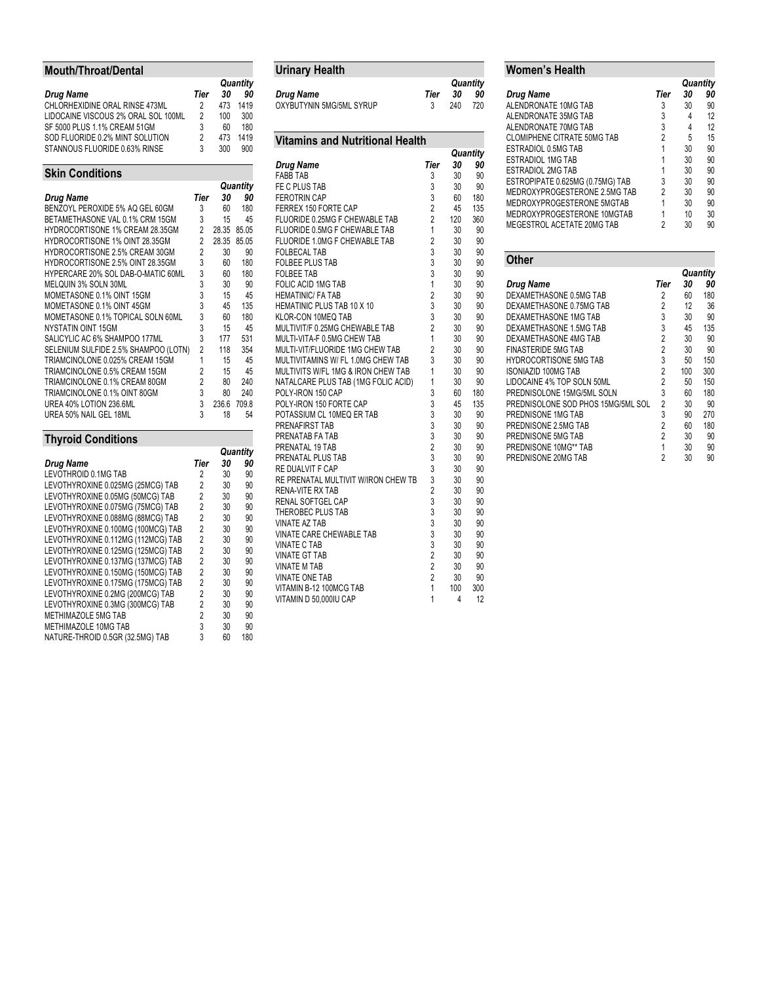# **Mouth/Throat/Dental**

|                                     |      |     | Quantity |
|-------------------------------------|------|-----|----------|
| <b>Drug Name</b>                    | Tier | 30  | 90       |
| CHLORHEXIDINE ORAL RINSE 473ML      | 2    | 473 | 1419     |
| LIDOCAINE VISCOUS 2% ORAL SOL 100ML | 2    | 100 | 300      |
| SF 5000 PLUS 1.1% CREAM 51GM        | 3    | 60  | 180      |
| SOD FLUORIDE 0.2% MINT SOLUTION     | 2    | 473 | 1419     |
| STANNOUS FLUORIDE 0.63% RINSE       | 3    | 300 | 900      |
|                                     |      |     |          |

## **Skin Conditions**

|                                        |                | Quantity |       |  |
|----------------------------------------|----------------|----------|-------|--|
| <b>Drug Name</b>                       | Tier           | 30       | 90    |  |
| BENZOYL PEROXIDE 5% AQ GEL 60GM        | 3              | 60       | 180   |  |
| BETAMETHASONE VAL 0.1% CRM 15GM        | 3              | 15       | 45    |  |
| <b>HYDROCORTISONE 1% CREAM 28.35GM</b> | 2              | 28.35    | 85.05 |  |
| HYDROCORTISONE 1% OINT 28.35GM         | 2              | 28.35    | 85.05 |  |
| <b>HYDROCORTISONE 2.5% CREAM 30GM</b>  | $\overline{2}$ | 30       | 90    |  |
| HYDROCORTISONE 2.5% OINT 28.35GM       | 3              | 60       | 180   |  |
| HYPERCARE 20% SOL DAB-O-MATIC 60ML     | 3              | 60       | 180   |  |
| MELQUIN 3% SOLN 30ML                   | 3              | 30       | 90    |  |
| MOMETASONE 0.1% OINT 15GM              | 3              | 15       | 45    |  |
| MOMETASONE 0.1% OINT 45GM              | 3              | 45       | 135   |  |
| MOMETASONE 0.1% TOPICAL SOLN 60ML      | 3              | 60       | 180   |  |
| NYSTATIN OINT 15GM                     | 3              | 15       | 45    |  |
| SALICYLIC AC 6% SHAMPOO 177ML          | 3              | 177      | 531   |  |
| SELENIUM SULFIDE 2.5% SHAMPOO (LOTN)   | $\overline{2}$ | 118      | 354   |  |
| TRIAMCINOLONE 0.025% CREAM 15GM        | 1              | 15       | 45    |  |
| TRIAMCINOLONE 0.5% CREAM 15GM          | $\overline{2}$ | 15       | 45    |  |
| TRIAMCINOLONE 0.1% CREAM 80GM          | $\overline{2}$ | 80       | 240   |  |
| TRIAMCINOLONE 0.1% OINT 80GM           | 3              | 80       | 240   |  |
| UREA 40% LOTION 236.6ML                | 3              | 236.6    | 709.8 |  |
| UREA 50% NAIL GEL 18ML                 | 3              | 18       | 54    |  |

# **Thyroid Conditions**

|                                    |      | Quantity |     |
|------------------------------------|------|----------|-----|
| Drug Name                          | Tier | 30       | 90  |
| LEVOTHROID 0.1MG TAB               | 2    | 30       | 90  |
| LEVOTHYROXINE 0.025MG (25MCG) TAB  | 2    | 30       | 90  |
| LEVOTHYROXINE 0.05MG (50MCG) TAB   | 2    | 30       | 90  |
| LEVOTHYROXINE 0.075MG (75MCG) TAB  | 2    | 30       | 90  |
| LEVOTHYROXINE 0.088MG (88MCG) TAB  | 2    | 30       | 90  |
| LEVOTHYROXINE 0.100MG (100MCG) TAB | 2    | 30       | 90  |
| LEVOTHYROXINE 0.112MG (112MCG) TAB | 2    | 30       | 90  |
| LEVOTHYROXINE 0.125MG (125MCG) TAB | 2    | 30       | 90  |
| LEVOTHYROXINE 0.137MG (137MCG) TAB | 2    | 30       | 90  |
| LEVOTHYROXINE 0.150MG (150MCG) TAB | 2    | 30       | 90  |
| LEVOTHYROXINE 0.175MG (175MCG) TAB | 2    | 30       | 90  |
| LEVOTHYROXINE 0.2MG (200MCG) TAB   | 2    | 30       | 90  |
| LEVOTHYROXINE 0.3MG (300MCG) TAB   | 2    | 30       | 90  |
| METHIMAZOLE 5MG TAB                | 2    | 30       | 90  |
| METHIMAZOLE 10MG TAB               | 3    | 30       | 90  |
| NATURE-THROID 0.5GR (32.5MG) TAB   | 3    | 60       | 180 |

| <b>Urinary Health</b>                  |                |     |          |
|----------------------------------------|----------------|-----|----------|
|                                        |                |     | Quantity |
| Drug Name                              | Tier           | 30  | 90       |
| OXYBUTYNIN 5MG/5ML SYRUP               | 3              | 240 | 720      |
|                                        |                |     |          |
| <b>Vitamins and Nutritional Health</b> |                |     |          |
|                                        |                |     | Quantity |
| <b>Drug Name</b>                       | Tier           | 30  | 90       |
| <b>FABB TAB</b>                        | 3              | 30  | 90       |
| FE C PLUS TAB                          | 3              | 30  | 90       |
| <b>FEROTRIN CAP</b>                    | 3              | 60  | 180      |
| FERREX 150 FORTE CAP                   | $\overline{c}$ | 45  | 135      |
| FLUORIDE 0.25MG F CHEWABLE TAB         | $\overline{2}$ | 120 | 360      |
| FLUORIDE 0.5MG F CHEWABLE TAB          | 1              | 30  | 90       |
| FLUORIDE 1.0MG F CHEWABLE TAB          | $\overline{c}$ | 30  | 90       |
| <b>FOLBECAL TAB</b>                    | 3              | 30  | 90       |
| <b>FOLBEE PLUS TAB</b>                 | 3              | 30  | 90       |
| <b>FOLBEE TAB</b>                      | 3              | 30  | 90       |
| FOLIC ACID 1MG TAB                     | $\overline{1}$ | 30  | 90       |
| <b>HEMATINIC/ FA TAB</b>               | $\overline{c}$ | 30  | 90       |
| HEMATINIC PLUS TAB 10 X 10             | 3              | 30  | 90       |
| KLOR-CON 10MEQ TAB                     | 3              | 30  | 90       |
| MULTIVIT/F 0.25MG CHEWABLE TAB         | $\overline{c}$ | 30  | 90       |
| MULTI-VITA-F 0.5MG CHEW TAB            | 1              | 30  | 90       |
| MULTI-VIT/FLUORIDE 1MG CHEW TAB        | $\overline{2}$ | 30  | 90       |
| MULTIVITAMINS W/ FL 1.0MG CHEW TAB     | 3              | 30  | 90       |
| MULTIVITS W/FL 1MG & IRON CHEW TAB     | 1              | 30  | 90       |
| NATALCARE PLUS TAB (1MG FOLIC ACID)    | $\overline{1}$ | 30  | 90       |
| POLY-IRON 150 CAP                      | 3              | 60  | 180      |
| POLY-IRON 150 FORTE CAP                | 3              | 45  | 135      |
| POTASSIUM CL 10MEQ ER TAB              | 3<br>3         | 30  | 90       |
| PRENAFIRST TAB                         |                | 30  | 90       |
| PRENATAB FA TAB                        | 3              | 30  | 90       |
| PRENATAL 19 TAB                        | $\overline{2}$ | 30  | 90       |
| PRENATAL PLUS TAB                      | 3              | 30  | 90       |
| RE DUALVIT F CAP                       | 3<br>3         | 30  | 90       |
| RE PRENATAL MULTIVIT W/IRON CHEW TB    |                | 30  | 90       |
| RENA-VITE RX TAB                       | $\frac{2}{3}$  | 30  | 90       |
| RENAL SOFTGEL CAP                      |                | 30  | 90       |
| THEROBEC PLUS TAB                      | 3              | 30  | 90       |
| <b>VINATE AZ TAB</b>                   | 3              | 30  | 90       |
| VINATE CARE CHEWABLE TAB               | 3              | 30  | 90       |
| VINATE C TAB                           | 3              | 30  | 90       |
| <b>VINATE GT TAB</b>                   | $\overline{c}$ | 30  | 90       |
| VINATE M TAB                           | $\overline{c}$ | 30  | 90       |
| <b>VINATE ONE TAB</b>                  | $\overline{c}$ | 30  | 90       |
| VITAMIN B-12 100MCG TAB                | 1              | 100 | 300      |
| VITAMIN D 50,000IU CAP                 | 1              | 4   | 12       |

# **Women's Health**

|                                    |      | Quantity |    |
|------------------------------------|------|----------|----|
| Drug Name                          | Tier | 30       | 90 |
| ALENDRONATE 10MG TAB               | 3    | 30       | 90 |
| ALENDRONATE 35MG TAB               | 3    | 4        | 12 |
| ALENDRONATE 70MG TAB               | 3    | 4        | 12 |
| <b>CLOMIPHENE CITRATE 50MG TAB</b> | 2    | 5        | 15 |
| ESTRADIOL 0.5MG TAB                |      | 30       | 90 |
| ESTRADIOL 1MG TAB                  |      | 30       | 90 |
| ESTRADIOL 2MG TAB                  |      | 30       | 90 |
| ESTROPIPATE 0.625MG (0.75MG) TAB   | 3    | 30       | 90 |
| MEDROXYPROGESTERONE 2.5MG TAB      | 2    | 30       | 90 |
| MEDROXYPROGESTERONE 5MGTAB         |      | 30       | 90 |
| MEDROXYPROGESTERONE 10MGTAB        |      | 10       | 30 |
| MEGESTROL ACETATE 20MG TAB         | 2    | 30       | 90 |

| <b>Other</b>                       |                |     |          |
|------------------------------------|----------------|-----|----------|
|                                    |                |     | Quantity |
| <b>Drug Name</b>                   | Tier           | 30  | 90       |
| DEXAMETHASONE 0.5MG TAB            | 2              | 60  | 180      |
| DEXAMETHASONE 0.75MG TAB           | $\overline{2}$ | 12  | 36       |
| DEXAMETHASONE 1MG TAB              | 3              | 30  | 90       |
| DEXAMETHASONE 1.5MG TAB            | 3              | 45  | 135      |
| DEXAMETHASONE 4MG TAB              | $\overline{2}$ | 30  | 90       |
| <b>FINASTERIDE 5MG TAB</b>         | $\overline{2}$ | 30  | 90       |
| <b>HYDROCORTISONE 5MG TAB</b>      | 3              | 50  | 150      |
| <b>ISONIAZID 100MG TAB</b>         | $\overline{2}$ | 100 | 300      |
| LIDOCAINE 4% TOP SOLN 50ML         | $\overline{2}$ | 50  | 150      |
| PREDNISOLONE 15MG/5ML SOLN         | 3              | 60  | 180      |
| PREDNISOLONE SOD PHOS 15MG/5ML SOL | $\overline{2}$ | 30  | 90       |
| PREDNISONE 1MG TAB                 | 3              | 90  | 270      |
| PREDNISONE 2.5MG TAB               | 2              | 60  | 180      |
| PREDNISONE 5MG TAB                 | $\overline{2}$ | 30  | 90       |
| PREDNISONE 10MG** TAB              | 1              | 30  | 90       |
| PREDNISONE 20MG TAB                | 2              | 30  | 90       |